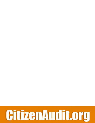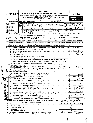|                                 |                                                |                            |                      |                                                                |         |                                                | <b>Short Form</b>                                                                                                                                                                                                                                                                                                                                                                                                                                      |    |                    |     |                                                               |          | OMB No 1545-1150                                                                                                                                                                                                                                                                                     |         |
|---------------------------------|------------------------------------------------|----------------------------|----------------------|----------------------------------------------------------------|---------|------------------------------------------------|--------------------------------------------------------------------------------------------------------------------------------------------------------------------------------------------------------------------------------------------------------------------------------------------------------------------------------------------------------------------------------------------------------------------------------------------------------|----|--------------------|-----|---------------------------------------------------------------|----------|------------------------------------------------------------------------------------------------------------------------------------------------------------------------------------------------------------------------------------------------------------------------------------------------------|---------|
|                                 |                                                | 990-EZ                     |                      |                                                                |         |                                                | <b>Return of Organization Exempt From Income Tax</b><br>Under section 501(c), 527, or 4947(a)(1) of the Internal Revenue Code (except black lung<br>benefit trust or private foundation)                                                                                                                                                                                                                                                               |    |                    |     |                                                               |          | 2004                                                                                                                                                                                                                                                                                                 |         |
|                                 |                                                |                            |                      |                                                                |         |                                                | ► For organizations with gross recelpts less than \$100,000 and total assets less                                                                                                                                                                                                                                                                                                                                                                      |    |                    |     |                                                               |          | Open to Public                                                                                                                                                                                                                                                                                       |         |
|                                 | Internal Revenue Service                       | Department of the Treasury |                      |                                                                |         |                                                | than \$250,000 at the end of the year<br>The organization may have to use a copy of this return to satisfy state reporting requirements                                                                                                                                                                                                                                                                                                                |    |                    |     |                                                               |          | Inspection                                                                                                                                                                                                                                                                                           |         |
|                                 |                                                |                            |                      | A For the 2004 calendar year, or tax year beginning            |         |                                                |                                                                                                                                                                                                                                                                                                                                                                                                                                                        |    | , 2004, and ending |     |                                                               |          | . 20                                                                                                                                                                                                                                                                                                 |         |
|                                 | <b>B</b> Check if applicable<br>Address change |                            | Please<br>use IRS    | C Name of organization                                         |         |                                                |                                                                                                                                                                                                                                                                                                                                                                                                                                                        |    |                    |     | 3                                                             |          | D Emolover Identification number<br>$\Theta$ 4                                                                                                                                                                                                                                                       |         |
|                                 | Name change                                    |                            | label or<br>print or |                                                                |         |                                                | CLUB OF GIREATER<br>Number and street (or PO box, if mail is not delivered to street address) Room/suite                                                                                                                                                                                                                                                                                                                                               |    |                    | ፐሪኮ | E Telephone number                                            |          | 65                                                                                                                                                                                                                                                                                                   |         |
|                                 | Initial return                                 |                            | type.<br>See.        | $c \prime\prime$                                               |         |                                                | POPLAR GROVE                                                                                                                                                                                                                                                                                                                                                                                                                                           | DR |                    |     |                                                               |          |                                                                                                                                                                                                                                                                                                      |         |
|                                 | nal return<br>Amended return                   |                            | Specific<br>Instruc- |                                                                |         | City or town, state or country, and $ZIP + 4$  |                                                                                                                                                                                                                                                                                                                                                                                                                                                        |    |                    |     | F Group Exemption                                             |          |                                                                                                                                                                                                                                                                                                      |         |
|                                 | Application pending                            |                            | tions.               |                                                                | 7 T O I |                                                | つけ                                                                                                                                                                                                                                                                                                                                                                                                                                                     |    |                    |     | Number                                                        |          |                                                                                                                                                                                                                                                                                                      |         |
|                                 |                                                |                            |                      | a completed Schedule A (Form 990 or 990-EZ).                   |         |                                                | • Section 501(c)(3) organizations and 4947(a)(1) nonexempt charitable trusts must attach                                                                                                                                                                                                                                                                                                                                                               |    |                    |     | G Accounting method,<br>Other (specify) $\blacktriangleright$ |          | $\mathbf{D}$ Cash<br>l 1                                                                                                                                                                                                                                                                             | Accrual |
|                                 | EMAIL<br>Website: $\blacktriangleright$        |                            |                      |                                                                |         |                                                | WRITE2SAMACHAR @ YAHOO.COM                                                                                                                                                                                                                                                                                                                                                                                                                             |    |                    |     | is not required to attach                                     |          | $H$ Check $\blacktriangleright$ $\blacksquare$ If the organization                                                                                                                                                                                                                                   |         |
|                                 |                                                |                            |                      |                                                                |         |                                                | J Organization type (check only one)— $\boxtimes$ 501(c) ( $\ddot{3}$ ) $\triangleleft$ (insert no ) $\Box$ 4947(a)(1) or $\Box$ 527                                                                                                                                                                                                                                                                                                                   |    |                    |     |                                                               |          | Schedule B (Form 990, 990-EZ, or 990-PF)                                                                                                                                                                                                                                                             |         |
|                                 |                                                |                            |                      |                                                                |         |                                                |                                                                                                                                                                                                                                                                                                                                                                                                                                                        |    |                    |     |                                                               |          | K Check ► L f the organization's gross recelpts are normally not more than \$25,000. The organization need not file a return with the IRS, but if the<br>organization received a Form 990 Package in the mail, it should file a return without financial data Some states require a complete return. |         |
|                                 |                                                |                            |                      |                                                                |         |                                                | L Add lines 5b, 6b, and 7b, to line 9 to determine gross receipts, if \$100,000 or more, file Form 990 instead of Form 990-EZ.                                                                                                                                                                                                                                                                                                                         |    |                    |     |                                                               | ► \$     |                                                                                                                                                                                                                                                                                                      |         |
|                                 | Part I                                         |                            |                      |                                                                |         |                                                | Revenue, Expenses, and Changes in Net Assets or Fund Balances (See page 37 of the instructions.)                                                                                                                                                                                                                                                                                                                                                       |    |                    |     |                                                               |          |                                                                                                                                                                                                                                                                                                      |         |
|                                 | 1                                              |                            |                      | Contributions, gifts, grants, and similar amounts received     |         |                                                |                                                                                                                                                                                                                                                                                                                                                                                                                                                        |    |                    |     |                                                               | 1.       |                                                                                                                                                                                                                                                                                                      |         |
|                                 | 2                                              |                            |                      |                                                                |         |                                                | Program service revenue including government fees and contracts                                                                                                                                                                                                                                                                                                                                                                                        |    |                    |     |                                                               | 2        |                                                                                                                                                                                                                                                                                                      |         |
|                                 | 3<br>4                                         |                            |                      | Membership dues and assessments                                |         |                                                |                                                                                                                                                                                                                                                                                                                                                                                                                                                        |    |                    |     |                                                               | з<br>4   |                                                                                                                                                                                                                                                                                                      |         |
|                                 | 5а                                             | Investment income          |                      | Gross amount from sale of assets other than inventory          |         |                                                | $\mathbf{r}$ and $\mathbf{r}$                                                                                                                                                                                                                                                                                                                                                                                                                          |    | 5a                 |     |                                                               |          |                                                                                                                                                                                                                                                                                                      |         |
|                                 | b                                              |                            |                      | Less cost or other basis and sales expenses                    |         |                                                |                                                                                                                                                                                                                                                                                                                                                                                                                                                        |    | 5b                 |     |                                                               |          |                                                                                                                                                                                                                                                                                                      |         |
|                                 | c                                              |                            |                      |                                                                |         |                                                | Gain or (loss) from sale of assets other than inventory (line 5a less line 5b) (attach schedule)                                                                                                                                                                                                                                                                                                                                                       |    |                    |     |                                                               | 5с       |                                                                                                                                                                                                                                                                                                      |         |
| evenue                          | 6                                              |                            |                      |                                                                |         |                                                | Special events and activities (attach schedule). If any amount is from gaming, check here $\blacktriangleright$                                                                                                                                                                                                                                                                                                                                        |    |                    |     |                                                               |          |                                                                                                                                                                                                                                                                                                      |         |
|                                 |                                                |                            |                      |                                                                |         |                                                | a Gross revenue (not including \$ _____________ of contributions                                                                                                                                                                                                                                                                                                                                                                                       |    | 6a.                |     | 505                                                           |          |                                                                                                                                                                                                                                                                                                      |         |
| τ                               |                                                | reported;on-line-1)        |                      | Chellers direct expenses other than fundraising expenses       | 2.12121 | and a state                                    |                                                                                                                                                                                                                                                                                                                                                                                                                                                        |    | 6b                 |     |                                                               |          |                                                                                                                                                                                                                                                                                                      |         |
|                                 |                                                |                            |                      |                                                                |         |                                                | To Net income or (loss) from special events and activities (line 6a less line 6b)                                                                                                                                                                                                                                                                                                                                                                      |    |                    |     |                                                               | 6c       | 798                                                                                                                                                                                                                                                                                                  |         |
|                                 |                                                |                            |                      | 7a Gross sales of inventory, less returns and allowances       |         |                                                |                                                                                                                                                                                                                                                                                                                                                                                                                                                        |    | 7a                 |     |                                                               |          |                                                                                                                                                                                                                                                                                                      |         |
| ୍ଚ                              |                                                | MAY Lessided & godds, sold |                      |                                                                |         | $\mathbf{r}$ and $\mathbf{r}$ and $\mathbf{r}$ |                                                                                                                                                                                                                                                                                                                                                                                                                                                        |    | 7 <sub>b</sub>     |     |                                                               |          |                                                                                                                                                                                                                                                                                                      |         |
|                                 |                                                |                            |                      |                                                                |         |                                                | c Gross profit or (Ids) from sales of inventory (line 7a less line 7b).                                                                                                                                                                                                                                                                                                                                                                                |    |                    |     |                                                               | 7с<br>8  |                                                                                                                                                                                                                                                                                                      |         |
|                                 |                                                |                            |                      |                                                                |         |                                                | $\bigcirc$ extremievenue-describe $\blacktriangleright$ $\underline{\hspace{1cm}}$ $\underline{\hspace{1cm}}$ $\underline{\hspace{1cm}}$ $\underline{\hspace{1cm}}$ $\underline{\hspace{1cm}}$ $\underline{\hspace{1cm}}$ $\underline{\hspace{1cm}}$ $\underline{\hspace{1cm}}$ $\underline{\hspace{1cm}}$ $\underline{\hspace{1cm}}$ $\underline{\hspace{1cm}}$ $\underline{\hspace{1cm}}$ $\underline{\hspace{1cm}}$ $\underline{\hspace{1cm}}$ $\u$ |    |                    |     |                                                               | a        |                                                                                                                                                                                                                                                                                                      |         |
|                                 | 10                                             |                            |                      |                                                                |         |                                                | Grants and similar amounts paid (attach schedule) and a subset of the state of the state of the state of the state of the state of the state of the state of the state of the state of the state of the state of the state of                                                                                                                                                                                                                          |    |                    |     |                                                               | 10       |                                                                                                                                                                                                                                                                                                      |         |
|                                 | 11                                             |                            |                      |                                                                |         |                                                | Benefits paid to or for members                                                                                                                                                                                                                                                                                                                                                                                                                        |    |                    |     |                                                               | 11       |                                                                                                                                                                                                                                                                                                      |         |
| e de                            | 12                                             |                            |                      |                                                                |         |                                                |                                                                                                                                                                                                                                                                                                                                                                                                                                                        |    |                    |     |                                                               | 12       |                                                                                                                                                                                                                                                                                                      |         |
| <b>Expenses</b><br><b>JUN 2</b> | 13                                             |                            |                      |                                                                |         |                                                | Professional fees and other payments to independent contractors [16]                                                                                                                                                                                                                                                                                                                                                                                   |    |                    |     |                                                               | 13<br>14 |                                                                                                                                                                                                                                                                                                      |         |
|                                 | 14<br>15                                       |                            |                      |                                                                |         |                                                | Occupancy, rent, utilities, and maintenance response to the control of the control of the control of the control of the control of the control of the control of the control of the control of the control of the control of t                                                                                                                                                                                                                         |    |                    |     |                                                               | 15       |                                                                                                                                                                                                                                                                                                      |         |
|                                 | 16                                             |                            |                      |                                                                |         |                                                | Printing, publications, postage, and shipping.<br>Other expenses (describe ► PROGRAM SERVICES                                                                                                                                                                                                                                                                                                                                                          |    |                    |     |                                                               | 16       |                                                                                                                                                                                                                                                                                                      |         |
|                                 | 17                                             |                            |                      |                                                                |         |                                                | Total expenses (add lines 10 through 16) (experience of the contract of the contract of the contract of the contract of the contract of the contract of the contract of the contract of the contract of the contract of the co                                                                                                                                                                                                                         |    |                    |     |                                                               | 17       |                                                                                                                                                                                                                                                                                                      |         |
| <b>ORNA</b>                     | 18                                             |                            |                      |                                                                |         |                                                | Excess or (deficit) for the year (line 9 less line 17) $\ldots$ $\ldots$ $\ldots$ $\ldots$ $\ldots$                                                                                                                                                                                                                                                                                                                                                    |    |                    |     |                                                               | 18       |                                                                                                                                                                                                                                                                                                      |         |
|                                 | 19                                             |                            |                      |                                                                |         |                                                | Net assets or fund balances at beginning of year (from line 27, column (A)) (must agree with                                                                                                                                                                                                                                                                                                                                                           |    |                    |     |                                                               | 19       |                                                                                                                                                                                                                                                                                                      |         |
|                                 | 20                                             |                            |                      |                                                                |         |                                                | end-of-year figure reported on prior year's return)<br>Other changes in net assets or fund balances (attach explanation)                                                                                                                                                                                                                                                                                                                               |    |                    |     |                                                               | 20       |                                                                                                                                                                                                                                                                                                      |         |
|                                 | 21                                             |                            |                      |                                                                |         |                                                | Net assets or fund balances at end of year (combine lines 18 through 20).                                                                                                                                                                                                                                                                                                                                                                              |    |                    |     |                                                               | 21       | 50.                                                                                                                                                                                                                                                                                                  |         |
|                                 | Part II                                        |                            |                      |                                                                |         |                                                |                                                                                                                                                                                                                                                                                                                                                                                                                                                        |    |                    |     |                                                               |          | Balance Sheets-if Total assets on line 25, column (B) are \$250,000 or more, file Form 990 instead of Form 990-EZ                                                                                                                                                                                    |         |
|                                 |                                                |                            |                      | (See page 40 of the instructions.)                             |         |                                                |                                                                                                                                                                                                                                                                                                                                                                                                                                                        |    |                    |     | (A) Beginning of year                                         |          | (B) End of year                                                                                                                                                                                                                                                                                      |         |
| 22                              |                                                |                            |                      |                                                                |         |                                                | Cash, savings, and investments and investments and investments and investments and a series of the state of the state of the state of the state of the state of the state of the state of the state of the state of the state                                                                                                                                                                                                                          |    |                    |     | 43,230                                                        | 22       | 50.6.                                                                                                                                                                                                                                                                                                |         |
| 23                              |                                                | Land and buildings         |                      |                                                                |         |                                                | the contract of the contract of the contract of the contract of the contract of                                                                                                                                                                                                                                                                                                                                                                        |    |                    |     |                                                               | 23<br>24 |                                                                                                                                                                                                                                                                                                      |         |
| 24<br>25                        |                                                | Total assets .             |                      |                                                                |         |                                                | Other assets (describe $\blacktriangleright$ $\ldots$ , $\ldots$ , $\ldots$ , $\ldots$ , $\ldots$ , $\ldots$ , $\ldots$ , $\ldots$ , $\ldots$ , $\ldots$ , $\ldots$ , $\ldots$ , $\ldots$ , $\ldots$ , $\ldots$ , $\ldots$ , $\ldots$ , $\ldots$ , $\ldots$ , $\ldots$ , $\ldots$ , $\ldots$ , $\ldots$ , $\ldots$ , $\ldots$ , $\ldots$ , $\ldots$ ,<br>and the company of the company of the company of the company of                               |    |                    |     |                                                               | 25       |                                                                                                                                                                                                                                                                                                      |         |
| 26                              |                                                |                            |                      | Total liabilities (describe $\blacktriangleright$ ____________ |         |                                                |                                                                                                                                                                                                                                                                                                                                                                                                                                                        |    |                    |     |                                                               | 26       |                                                                                                                                                                                                                                                                                                      |         |
| 27                              |                                                |                            |                      |                                                                |         |                                                | Net assets or fund balances (line 27 of column (B) must agree with line 21)                                                                                                                                                                                                                                                                                                                                                                            |    |                    |     |                                                               | 7.30 27  |                                                                                                                                                                                                                                                                                                      |         |
|                                 |                                                |                            |                      |                                                                |         |                                                | For Privacy Act and Paperwork Reduction Act Notice, see the separate instructions.                                                                                                                                                                                                                                                                                                                                                                     |    | Cat No 106421      |     |                                                               |          | Form 990-EZ (2004)                                                                                                                                                                                                                                                                                   |         |

 $\mathfrak{l}\mathfrak{S}$ 

 $\mathcal{P}$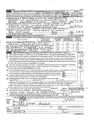| Form 990-EZ (2004) |                                                                                                                                                                                                         |                                                                                                                                                                                                                                |                                   |                                                   |     |                                                  | Page 2 |
|--------------------|---------------------------------------------------------------------------------------------------------------------------------------------------------------------------------------------------------|--------------------------------------------------------------------------------------------------------------------------------------------------------------------------------------------------------------------------------|-----------------------------------|---------------------------------------------------|-----|--------------------------------------------------|--------|
| Part III           | Statement of Program Service Accomplishments (See page 41 of the instructions.)                                                                                                                         |                                                                                                                                                                                                                                |                                   |                                                   |     | <b>Expenses</b>                                  |        |
|                    | What is the organization's primary exempt purpose? (NOT FOR PROFIT) CHARIT                                                                                                                              |                                                                                                                                                                                                                                | ABLE                              |                                                   |     | (Required for 501(c)(3)<br>and (4) organizations |        |
|                    | Describe what was achieved in carrying out the organization's exempt purposes. In a clear and concise manner,                                                                                           |                                                                                                                                                                                                                                |                                   |                                                   |     | and 4947(a)(1) trusts,                           |        |
|                    | describe the services provided, the number of persons benefited, or other relevant information for each program with                                                                                    |                                                                                                                                                                                                                                |                                   |                                                   |     | Coptional Apr others                             |        |
|                    | 28 ORGANIZED A DANCE DRAMA BY VISITING INDIAN DANCERS FOR                                                                                                                                               |                                                                                                                                                                                                                                |                                   |                                                   |     |                                                  |        |
|                    | THE BENEFIT OF INDIAN/AMERICAN COMMUNITIES LIVING IN                                                                                                                                                    |                                                                                                                                                                                                                                |                                   |                                                   |     |                                                  | 518    |
|                    | <u>GOOT PEOPLE ATTENDED</u><br>$DA+TON$                                                                                                                                                                 |                                                                                                                                                                                                                                | (Grants $\frac{1}{2}$ $\sim$ 8000 |                                                   | 28a |                                                  |        |
|                    | "FESTIVAL OF LIGHTS"<br>29 CELEBRATED                                                                                                                                                                   | CDIMALI                                                                                                                                                                                                                        | $E$ ven $K$ (N Nov /od            |                                                   |     |                                                  |        |
|                    | ANNUAL CULTURAL EVENT<br>$-$ AMASOR                                                                                                                                                                     |                                                                                                                                                                                                                                | FOR THE<br>VAST                   |                                                   |     | 10, ら2つ                                          |        |
|                    | <u>o</u> F<br>MAJORITY                                                                                                                                                                                  | DAYTON INDIAN COMMUNITY (Grants \$                                                                                                                                                                                             |                                   |                                                   | 29a |                                                  |        |
|                    | 30 CONOUCTED "BAAL SABHA"-A SCHOOL FOR AMERICA                                                                                                                                                          |                                                                                                                                                                                                                                |                                   |                                                   |     |                                                  |        |
| BARN.              | CHILDREN OF INDIAN ORIGIN ALL THROUT                                                                                                                                                                    |                                                                                                                                                                                                                                |                                   |                                                   |     |                                                  |        |
| <b>THE</b>         | $200 +$<br>VEAR                                                                                                                                                                                         |                                                                                                                                                                                                                                | (Grants \$                        |                                                   | 30a |                                                  |        |
|                    | 31 Other program services (attach schedule)                                                                                                                                                             | the property of the control of the control of the control of the control of the control of the control of the control of the control of the control of the control of the control of the control of the control of the control | (Grants \$                        |                                                   | 31a |                                                  |        |
|                    | 32 Total program service expenses (add lines 28a through 31a)<br>List of Officers, Directors, Trustees, and Key Employees (List each one even if not compensated. See page 41 of the instructions.)     |                                                                                                                                                                                                                                |                                   |                                                   | 32  |                                                  | sc     |
| Part IV            |                                                                                                                                                                                                         | (B) Title and average                                                                                                                                                                                                          | (C) Compensation                  | (D) Contributions to                              |     | (E) Expense                                      |        |
|                    | (A) Name and address                                                                                                                                                                                    | hours per week<br>devoted to position                                                                                                                                                                                          | (If not paid,<br>enter -0-.)      | cmplovee benefit plans &<br>deferred compensation |     | account and<br>other allowances                  |        |
|                    | DR. RAJ SINGH 276 Por<br>4R D R                                                                                                                                                                         | $PRES$ IDENT                                                                                                                                                                                                                   |                                   |                                                   |     |                                                  |        |
|                    | ο<br>レスイびい                                                                                                                                                                                              | 3-5 Hoves                                                                                                                                                                                                                      |                                   |                                                   |     |                                                  |        |
|                    | 9467<br>VIE RU<br><b>ASHWIN</b><br>O                                                                                                                                                                    | VICE PRESIDENT                                                                                                                                                                                                                 |                                   |                                                   |     |                                                  |        |
|                    | Όн<br>WAY, CENTERVILLE                                                                                                                                                                                  | $3 - 5$<br>HOURS                                                                                                                                                                                                               |                                   | - 1                                               |     |                                                  |        |
| MDΩ                | SEETHA NATARASAN, 2341 APRIST                                                                                                                                                                           | TREASURER                                                                                                                                                                                                                      |                                   | ⌒                                                 |     |                                                  |        |
|                    | 543<br>BEAVERCEEEK OH                                                                                                                                                                                   | $2 - 4$<br>Hrs                                                                                                                                                                                                                 |                                   |                                                   |     |                                                  |        |
| Part V             | Other Information (Note the attachment requirement in General Instruction V, page 14.)                                                                                                                  |                                                                                                                                                                                                                                |                                   |                                                   |     | Yes                                              | No     |
| 33                 | Did the organization engage in any activity not previously reported to the IRS? If "Yes," attach a detailed description of each activity                                                                |                                                                                                                                                                                                                                |                                   |                                                   |     |                                                  |        |
| 34                 | Were any changes made to the organizing or governing documents but not reported to the IRS? If "Yes," attach a conformed copy of the changes                                                            |                                                                                                                                                                                                                                |                                   |                                                   |     |                                                  |        |
| 35                 | If the organization had income from business activities, such as those reported on lines 2, 6, and 7 (among others), but                                                                                |                                                                                                                                                                                                                                |                                   |                                                   |     |                                                  |        |
|                    | not reported on Form 990-T, attach a statement explaining your reason for not reporting the income on Form 990-T.                                                                                       |                                                                                                                                                                                                                                |                                   |                                                   |     |                                                  |        |
|                    | a Did the organization have unrelated business gross income of \$1,000 or more or 6033(e) notice, reporting, and proxy tax requirements?                                                                |                                                                                                                                                                                                                                |                                   |                                                   |     |                                                  | N      |
|                    | b If "Yes," has it filed a tax return on Form 990-T for this year?                                                                                                                                      |                                                                                                                                                                                                                                |                                   |                                                   |     |                                                  |        |
| 36                 | Was there a liquidation, dissolution, termination, or substantial contraction during the year? (If "Yes," attach a statement.)                                                                          |                                                                                                                                                                                                                                |                                   |                                                   |     |                                                  |        |
|                    | 37a Enter amount of political expenditures, direct or indirect, as described in the instructions $\blacktriangleright$                                                                                  |                                                                                                                                                                                                                                |                                   | $\sqrt{37a}$                                      |     |                                                  | 朷      |
|                    | b Did the organization file Form 1120-POL for this year?.                                                                                                                                               |                                                                                                                                                                                                                                |                                   |                                                   |     |                                                  | Ά      |
|                    | 38a Did the organization borrow from, or make any loans to, any officer, director, trustee, or key employee or were any                                                                                 |                                                                                                                                                                                                                                |                                   |                                                   |     |                                                  |        |
|                    | such loans made in a prior year and still unpaid at the start of the period covered by this return?,                                                                                                    |                                                                                                                                                                                                                                |                                   |                                                   |     |                                                  |        |
|                    | b If "Yes," attach the schedule specified in the line 38 instructions and enter the amount involved.                                                                                                    |                                                                                                                                                                                                                                |                                   | 38b                                               |     |                                                  |        |
| 39.                | 501(c)(7) organizations. Enter: a Initiation fees and capital contributions included on line 9                                                                                                          |                                                                                                                                                                                                                                |                                   | 39а                                               |     |                                                  |        |
|                    | b Gross receipts, included on line 9, for public use of club facilities                                                                                                                                 |                                                                                                                                                                                                                                |                                   | 39 b                                              |     |                                                  |        |
|                    | 40a 501(c)(3) organizations Enter Amount of tax imposed on the organization during the year under                                                                                                       |                                                                                                                                                                                                                                |                                   |                                                   |     |                                                  |        |
|                    | ________________________; section 4912 ▶___________________________; section 4955 ▶.<br>section 4911                                                                                                    |                                                                                                                                                                                                                                |                                   |                                                   |     |                                                  |        |
|                    | b 501(c)(3) and (4) organizations Did the organization engage in any section 4958 excess benefit transaction during the                                                                                 |                                                                                                                                                                                                                                |                                   |                                                   |     |                                                  |        |
|                    | year or did it become aware of an excess benefit transaction from a prior year? If "Yes," attach an explanation.                                                                                        |                                                                                                                                                                                                                                |                                   |                                                   |     |                                                  |        |
|                    | c Amount of tax imposed on organization managers or disqualified persons during the year under 4912, 4955, and 4958 ► ___________                                                                       |                                                                                                                                                                                                                                |                                   |                                                   |     |                                                  |        |
|                    | <b>c</b> Amount of tax on line 40c, above, reimbursed by the organization<br><b>d</b> Enter: Amount of tax on line 40c, above, reimbursed by the organization                                           |                                                                                                                                                                                                                                |                                   | OHIO DOES NOT REQUIRE IT                          |     |                                                  |        |
| 41                 | List the states with which a copy of this return is filed > __________<br>The books are in care of $\triangleright$ M.R.S., S.C.C.T.H.A. MA.T.A.R.A. 3.AM Felephone no. $\triangleright$ (937) 426 1116 |                                                                                                                                                                                                                                |                                   |                                                   |     |                                                  |        |
| 42                 | Located at $\triangleright$ 2.341 APRIC OT DR BENVERCREEK [18]                                                                                                                                          |                                                                                                                                                                                                                                |                                   |                                                   |     | 4543)                                            |        |
| 43.                | Section 4947(a)(1) nonexempt charitable trusts filing Form 990-EZ in lieu of Form 1041-Check here                                                                                                       |                                                                                                                                                                                                                                |                                   |                                                   |     |                                                  |        |
|                    | and enter the amount of tax-exempt interest received or accrued during the tax year                                                                                                                     |                                                                                                                                                                                                                                | $\ddot{\phantom{a}}$              | 43<br>₽.                                          |     |                                                  |        |
|                    | Under penalties of penalty I declare that I have examined this return, including accompanying schedules and statements, and to the best of my knowledge                                                 |                                                                                                                                                                                                                                |                                   |                                                   |     |                                                  |        |
|                    | Get correct, and complete Declaration of preparer (other than officer) is based on all information of which preparer has any knowledge<br>and belief, it is                                             |                                                                                                                                                                                                                                |                                   |                                                   |     |                                                  |        |
| <b>Please</b>      |                                                                                                                                                                                                         |                                                                                                                                                                                                                                |                                   |                                                   |     |                                                  |        |
| Sign               | Signature of officer                                                                                                                                                                                    |                                                                                                                                                                                                                                |                                   | Date                                              |     |                                                  |        |
| Here               | SIMGH                                                                                                                                                                                                   | seriden                                                                                                                                                                                                                        |                                   |                                                   |     |                                                  |        |
|                    | Type or print name and title                                                                                                                                                                            |                                                                                                                                                                                                                                |                                   |                                                   |     |                                                  |        |
|                    | Preparer's                                                                                                                                                                                              | Date                                                                                                                                                                                                                           | Check if                          |                                                   |     | Preparer's SSN or PTIN (See Gen Inst W)          |        |
| Paid               | signature                                                                                                                                                                                               |                                                                                                                                                                                                                                | self-<br>employed ▶               |                                                   |     |                                                  |        |
| <b>Preparer</b> s  | Firm's name (or yours )                                                                                                                                                                                 |                                                                                                                                                                                                                                |                                   | EIN<br>٠                                          |     |                                                  |        |
| Use Only           | if self-employed),<br>address, and ZIP + 4                                                                                                                                                              |                                                                                                                                                                                                                                |                                   | Phone no $\blacktriangleright$ (                  | -1  |                                                  |        |

| For <b>m 990-EZ</b> (2004) |  |
|----------------------------|--|
|----------------------------|--|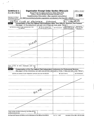| <b>SCHEDULE A</b>                                      |                                                                                                                  | Organization Exempt Under Section 501(c)(3)                                                                                 |                  |                                                                            | OMB No 1545-0047                               |
|--------------------------------------------------------|------------------------------------------------------------------------------------------------------------------|-----------------------------------------------------------------------------------------------------------------------------|------------------|----------------------------------------------------------------------------|------------------------------------------------|
| (Form 990 or 990-EZ)                                   |                                                                                                                  | (Except Private Foundation) and Section 501(e), 501(f), 501(k),<br>501(n), or Section 4947(a)(1) Nonexempt Charitable Trust |                  |                                                                            |                                                |
|                                                        |                                                                                                                  | Supplementary Information-(See separate instructions.)                                                                      |                  |                                                                            | $200$ u4                                       |
| Department of the Treasury<br>Internal Revenue Service | MUST be completed by the above organizations and attached to their Form 990 or 990-EZ                            |                                                                                                                             |                  |                                                                            |                                                |
| Name of the organization<br>Nν                         | <u>CLUB OF GREATER DAYTON</u>                                                                                    |                                                                                                                             |                  | Employer identification number                                             | 181659                                         |
| Part I                                                 | Compensation of the Five Highest Paid Employees Other Than Officers, Directors, and Trustees                     |                                                                                                                             |                  |                                                                            |                                                |
|                                                        | (See page 1 of the instructions. List each one. If there are none, enter "None.")                                |                                                                                                                             |                  |                                                                            |                                                |
|                                                        | (a) Name and address of each employee paid more<br>than \$50,000                                                 | (b) Title and average hours<br>per week devoted to position                                                                 | (c) Compensation | (d) Contributions to<br>lemployee benefit plans &<br>deferred compensation | (e) Expense<br>account and other<br>allowances |
|                                                        |                                                                                                                  |                                                                                                                             |                  |                                                                            |                                                |
|                                                        |                                                                                                                  |                                                                                                                             |                  |                                                                            |                                                |
|                                                        |                                                                                                                  |                                                                                                                             |                  |                                                                            |                                                |
|                                                        |                                                                                                                  |                                                                                                                             |                  |                                                                            |                                                |
|                                                        |                                                                                                                  |                                                                                                                             |                  |                                                                            |                                                |
|                                                        | JONE                                                                                                             |                                                                                                                             |                  |                                                                            |                                                |
|                                                        |                                                                                                                  |                                                                                                                             |                  |                                                                            |                                                |
|                                                        |                                                                                                                  |                                                                                                                             |                  |                                                                            |                                                |
|                                                        |                                                                                                                  |                                                                                                                             |                  |                                                                            |                                                |
|                                                        |                                                                                                                  |                                                                                                                             |                  |                                                                            |                                                |
|                                                        |                                                                                                                  |                                                                                                                             |                  |                                                                            |                                                |
|                                                        |                                                                                                                  |                                                                                                                             |                  |                                                                            |                                                |
|                                                        |                                                                                                                  |                                                                                                                             |                  |                                                                            |                                                |
|                                                        |                                                                                                                  |                                                                                                                             |                  |                                                                            |                                                |
|                                                        |                                                                                                                  |                                                                                                                             |                  |                                                                            |                                                |
| \$50,000                                               | Total number of other employees paid over                                                                        |                                                                                                                             |                  |                                                                            |                                                |
| Part II                                                | Compensation of the Five Highest Paid Independent Contractors for Professional Services                          |                                                                                                                             |                  |                                                                            |                                                |
|                                                        | (See page 2 of the instructions. List each one (whether individuals or firms). If there are none, enter "None.") |                                                                                                                             |                  |                                                                            |                                                |
|                                                        | (a) Name and address of each independent contractor paid more than \$50,000                                      |                                                                                                                             |                  | (b) Type of service                                                        | (c) Compensation                               |
|                                                        |                                                                                                                  |                                                                                                                             |                  |                                                                            |                                                |
|                                                        |                                                                                                                  |                                                                                                                             |                  |                                                                            |                                                |
|                                                        |                                                                                                                  |                                                                                                                             |                  |                                                                            |                                                |
|                                                        |                                                                                                                  |                                                                                                                             |                  |                                                                            |                                                |
|                                                        |                                                                                                                  |                                                                                                                             |                  |                                                                            |                                                |
|                                                        |                                                                                                                  |                                                                                                                             |                  |                                                                            |                                                |
|                                                        |                                                                                                                  | $u_{0}$ Me                                                                                                                  |                  |                                                                            |                                                |
|                                                        |                                                                                                                  |                                                                                                                             |                  |                                                                            |                                                |
|                                                        |                                                                                                                  |                                                                                                                             |                  |                                                                            |                                                |
|                                                        |                                                                                                                  |                                                                                                                             |                  |                                                                            |                                                |
|                                                        |                                                                                                                  |                                                                                                                             |                  |                                                                            |                                                |
|                                                        |                                                                                                                  |                                                                                                                             |                  |                                                                            |                                                |
|                                                        |                                                                                                                  |                                                                                                                             |                  |                                                                            |                                                |
|                                                        |                                                                                                                  |                                                                                                                             |                  |                                                                            |                                                |
|                                                        |                                                                                                                  |                                                                                                                             |                  |                                                                            |                                                |
| professional services                                  | Total number of others receiving over \$50,000 for                                                               |                                                                                                                             |                  |                                                                            |                                                |
|                                                        | For Paperwork Reduction Act Notice, see the Instructions for Form 990 and Form 990-EZ.                           |                                                                                                                             | Cat No 11285F    |                                                                            | Schedule A (Form 990 or 990-EZ) 2004           |

 $\frac{1}{2} \frac{1}{2} \frac{d^2 \theta}{d\theta^2}$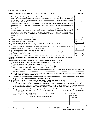|     |          | Schedule A (Form 990 or 990-EZ) 2004                                                                                                                                                                                                                                                                                                                                                                                                                                                                                |                |      | Page 2 |
|-----|----------|---------------------------------------------------------------------------------------------------------------------------------------------------------------------------------------------------------------------------------------------------------------------------------------------------------------------------------------------------------------------------------------------------------------------------------------------------------------------------------------------------------------------|----------------|------|--------|
|     | Part III | Statements About Activities (See page 2 of the instructions.)                                                                                                                                                                                                                                                                                                                                                                                                                                                       |                | Yesl | No     |
| 1   |          | During the year, has the organization attempted to influence national, state, or local legislation, including any<br>attempt to influence public opinion on a legislative matter or referendum? If "Yes," enter the total expenses paid<br>or incurred in connection with the lobbying activities $\blacktriangleright$ \$ _________________ (Must equal amounts on line 38,<br>Part VI-A, or line i of Part VI-B)                                                                                                  | 1              |      |        |
|     |          | Organizations that made an election under section 501(h) by filing Form 5768 must complete Part VI-A Other<br>organizations checking "Yes" must complete Part VI-B AND attach a statement giving a detailed description of<br>the lobbying activities                                                                                                                                                                                                                                                               |                |      |        |
| 2   |          | During the year, has the organization, either directly or indirectly, engaged in any of the following acts with any<br>substantial contributors, trustees, directors, officers, creators, key employees, or members of their families, or<br>with any taxable organization with which any such person is affiliated as an officer, director, trustee, majority<br>owner, or principal beneficiary? (If the answer to any question is "Yes," attach a detailed statement explaining the<br>transactions.)            |                |      |        |
|     |          | a Sale, exchange, or leasing of property?                                                                                                                                                                                                                                                                                                                                                                                                                                                                           | 2a             |      |        |
|     |          | <b>b</b> Lending of money or other extension of credit?                                                                                                                                                                                                                                                                                                                                                                                                                                                             | 2 <sub>b</sub> |      |        |
|     |          | c. Furnishing of goods, services, or facilities?                                                                                                                                                                                                                                                                                                                                                                                                                                                                    | 2с             |      |        |
| d   |          | Payment of compensation (or payment or reimbursement of expenses if more than \$1,000)?                                                                                                                                                                                                                                                                                                                                                                                                                             | 2d             |      |        |
|     |          | e Transfer of any part of its income or assets?                                                                                                                                                                                                                                                                                                                                                                                                                                                                     | 2e             |      |        |
|     |          | 3a Do you make grants for scholarships, fellowships, student loans, etc ? (If "Yes," attach an explanation of how                                                                                                                                                                                                                                                                                                                                                                                                   | За             |      |        |
|     |          | you determine that recipients qualify to receive payments)<br>b Do you have a section 403(b) annuity plan for your employees?                                                                                                                                                                                                                                                                                                                                                                                       | 3 <sub>b</sub> |      |        |
|     |          | 4a Did you maintain any separate account for participating donors where donors have the right to provide advice                                                                                                                                                                                                                                                                                                                                                                                                     |                |      |        |
|     |          | on the use or distribution of funds?                                                                                                                                                                                                                                                                                                                                                                                                                                                                                | 4а             |      |        |
|     |          | b Do you provide credit counseling, debt management, credit repair, or debt negotiation services?                                                                                                                                                                                                                                                                                                                                                                                                                   | 4b             |      |        |
|     | Part IV  | Reason for Non-Private Foundation Status (See pages 3 through 6 of the instructions.)                                                                                                                                                                                                                                                                                                                                                                                                                               |                |      |        |
|     |          |                                                                                                                                                                                                                                                                                                                                                                                                                                                                                                                     |                |      |        |
|     |          | The organization is not a private foundation because it is: (Please check only ONE applicable box)                                                                                                                                                                                                                                                                                                                                                                                                                  |                |      |        |
| 5   |          | $\Box$ A church, convention of churches, or association of churches Section 170(b)(1)(A)(i)                                                                                                                                                                                                                                                                                                                                                                                                                         |                |      |        |
| 6   |          | $\Box$ A school Section 170(b)(1)(A)(ii) (Also complete Part V)                                                                                                                                                                                                                                                                                                                                                                                                                                                     |                |      |        |
| 7   |          | $\Box$ A hospital or a cooperative hospital service organization Section 170(b)(1)(A)(iii)                                                                                                                                                                                                                                                                                                                                                                                                                          |                |      |        |
| 8   |          | A Federal, state, or local government or governmental unit Section 170(b)(1)(A)(v)                                                                                                                                                                                                                                                                                                                                                                                                                                  |                |      |        |
| 9   |          | $\Box$ A medical research organization operated in conjunction with a hospital Section 170(b)(1)(A)(iii) Enter the hospital's name, city,<br>and state $\blacktriangleright$                                                                                                                                                                                                                                                                                                                                        |                |      |        |
| 10. |          | An organization operated for the benefit of a college or university owned or operated by a governmental unit Section 170(b)(1)(A)(iv)<br>(Also complete the Support Schedule in Part IV-A)                                                                                                                                                                                                                                                                                                                          |                |      |        |
|     |          | An organization that normally receives a substantial part of its support from a governmental unit or from the general public Section<br>170(b)(1)(A)(vi) (Also complete the Support Schedule in Part IV-A)                                                                                                                                                                                                                                                                                                          |                |      |        |
|     |          | 11b 3 Acommunity trust Section 170(b)(1)(A)(vi) (Also complete the Support Schedule in Part IV-A)                                                                                                                                                                                                                                                                                                                                                                                                                   |                |      |        |
| 12. |          | An organization that normally receives (1) more than 33%% of its support from contributions, membership fees, and gross<br>receipts from activities related to its charitable, etc., functions—subject to certain exceptions, and (2) no more than 331/3% of<br>its support from gross investment income and unrelated business taxable income (less section 511 tax) from businesses acquired<br>by the organization after June 30, 1975. See section 509(a)(2). (Also complete the Support Schedule in Part IV-A) |                |      |        |
| 13. |          | An organization that is not controlled by any disqualified persons (other than foundation managers) and supports organizations<br>described in: (1) lines 5 through 12 above, or (2) section 501(c)(4), (5), or (6), if they meet the test of section 509(a)(2) (See<br>section 509(a)(3).)                                                                                                                                                                                                                         |                |      |        |
|     |          | Provide the following information about the supported organizations (See page 5 of the instructions)                                                                                                                                                                                                                                                                                                                                                                                                                |                |      |        |

 $\label{eq:2} \frac{1}{2} \sum_{i=1}^n \frac{1}{2} \sum_{j=1}^n \frac{1}{2} \sum_{j=1}^n \frac{1}{2} \sum_{j=1}^n \frac{1}{2} \sum_{j=1}^n \frac{1}{2} \sum_{j=1}^n \frac{1}{2} \sum_{j=1}^n \frac{1}{2} \sum_{j=1}^n \frac{1}{2} \sum_{j=1}^n \frac{1}{2} \sum_{j=1}^n \frac{1}{2} \sum_{j=1}^n \frac{1}{2} \sum_{j=1}^n \frac{1}{2} \sum_{j=1}^n \frac{1}{$ 

14 **D** An organization organized and operated to test for public safety Section 509(a)(4) (See page 5 of the instructions)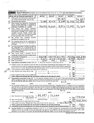|    | Schedule A (Form 990 or 990-EZ) 2004                                                                                                                                                                                                                                                                                                                                                                                                                                                                                                                                                                                         |                    |          |              |                       | Page 3    |
|----|------------------------------------------------------------------------------------------------------------------------------------------------------------------------------------------------------------------------------------------------------------------------------------------------------------------------------------------------------------------------------------------------------------------------------------------------------------------------------------------------------------------------------------------------------------------------------------------------------------------------------|--------------------|----------|--------------|-----------------------|-----------|
|    | Part IV-A Support Schedule (Complete only if you checked a box on line 10, 11, or 12.) Use cash method of accounting.                                                                                                                                                                                                                                                                                                                                                                                                                                                                                                        |                    |          |              |                       |           |
|    | Note: You may use the worksheet in the instructions for converting from the accrual to the cash method of accounting                                                                                                                                                                                                                                                                                                                                                                                                                                                                                                         |                    |          |              |                       |           |
|    | Calendar year (or fiscal year beginning in)<br>▶                                                                                                                                                                                                                                                                                                                                                                                                                                                                                                                                                                             | (a) 2003           | (b) 2002 | (c) 2001     | (d) 2000              | (e) Total |
| 15 | Gifts, grants, and contributions received. (Do<br>not include unusual grants See line 28.)                                                                                                                                                                                                                                                                                                                                                                                                                                                                                                                                   |                    |          | 39,387       |                       |           |
| 16 | Membership fees received                                                                                                                                                                                                                                                                                                                                                                                                                                                                                                                                                                                                     | 7185               | 4,715    | <u>3,589</u> | 55                    |           |
| 17 | Gross receipts from admissions, merchandise<br>sold or services performed, or furnishing of<br>facilities in any activity that is related to the<br>organization's charitable, etc. purpose                                                                                                                                                                                                                                                                                                                                                                                                                                  | 26,033             | 14,860   | 18,815       | 12,997                | 72        |
| 18 | Gross income from interest, dividends,<br>amounts received from payments on securities<br>loans (section 512(a)(5)), rents, royalties, and<br>unrelated business taxable income (less<br>section 511 taxes) from businesses acquired<br>by the organization after June 30, 1975                                                                                                                                                                                                                                                                                                                                              |                    |          |              |                       |           |
| 19 | Net income from unrelated<br>business<br>activities not included in line 18                                                                                                                                                                                                                                                                                                                                                                                                                                                                                                                                                  |                    |          |              |                       |           |
| 20 | Tax revenues levied for the organization's<br>benefit and either paid to it or expended on<br>its behalf.<br>$\mathbf{r} = \mathbf{r} + \mathbf{r}$<br>and a strategic control of                                                                                                                                                                                                                                                                                                                                                                                                                                            |                    |          |              |                       |           |
| 21 | The value of services or facilities furnished to<br>the organization by a governmental unit<br>without charge. Do not include the value of<br>services or facilities generally furnished to the<br>public without charge                                                                                                                                                                                                                                                                                                                                                                                                     |                    |          |              |                       |           |
| 22 | Other income Attach a schedule. Do not<br>include gain or (loss) from sale of capital assets                                                                                                                                                                                                                                                                                                                                                                                                                                                                                                                                 |                    |          |              |                       |           |
| 23 | Total of lines 15 through 22                                                                                                                                                                                                                                                                                                                                                                                                                                                                                                                                                                                                 | 218                | 575      | b            | 52                    |           |
| 24 | Line 23 minus line 17                                                                                                                                                                                                                                                                                                                                                                                                                                                                                                                                                                                                        | 185                | 715      | 42976        | 6'755                 |           |
| 25 | Enter 1% of line 23                                                                                                                                                                                                                                                                                                                                                                                                                                                                                                                                                                                                          | 332                | 196      | 618          | $\hat{s}$<br>$\alpha$ |           |
| 26 | Organizations described on lines 10 or 11: a Enter 2% of amount in column (e), line 24                                                                                                                                                                                                                                                                                                                                                                                                                                                                                                                                       |                    |          |              | <b>26a</b><br>▶       |           |
|    | <b>b</b> Prepare a list for your records to show the name of and amount contributed by each person (other than a<br>governmental unit or publicly supported organization) whose total gifts for 2000 through 2003 exceeded the                                                                                                                                                                                                                                                                                                                                                                                               |                    |          |              |                       |           |
| ∼  | amount shown in line 26a Do not file this list with your return. Enter the total of all these excess amounts                                                                                                                                                                                                                                                                                                                                                                                                                                                                                                                 |                    |          |              | 26b                   |           |
|    | $\mathcal{A}_{\mathbf{c}}$ Total support for section 509(a)(1) test Enter line 24, column (e)<br>Add Amounts from column (e) for lines 18 ______________ 19 ______________                                                                                                                                                                                                                                                                                                                                                                                                                                                   |                    |          |              | 26c                   |           |
|    |                                                                                                                                                                                                                                                                                                                                                                                                                                                                                                                                                                                                                              | $22$ 26b           |          |              | 26d                   |           |
|    |                                                                                                                                                                                                                                                                                                                                                                                                                                                                                                                                                                                                                              |                    |          |              | <b>26e</b>            |           |
| f. | Public support percentage (line 26e (numerator) divided by line 26c (denominator))                                                                                                                                                                                                                                                                                                                                                                                                                                                                                                                                           |                    |          |              | 261                   |           |
| 27 | Organizations described on line 12: a For amounts included in lines 15, 16, and 17 that were received from a "disqualified<br>person," prepare a list for your records to show the name of, and total amounts received in each year from, each "disqualified person"<br>Do not file this list with your return. Enter the sum of such amounts for each year                                                                                                                                                                                                                                                                  |                    |          | N/A          |                       |           |
|    | b For any amount included in line 17 that was received from each person (other than "disqualified persons"), prepare a list for your records to<br>show the name of, and amount received for each year, that was more than the larger of (1) the amount on line 25 for the year or (2) \$5,000.<br>(include in the list organizations described in lines 5 through 11, as well as individuals) Do not file this list with your return. After computing<br>the difference between the amount received and the larger amount described in (1) or (2), enter the sum of these differences (the excess<br>amounts) for each year |                    |          | N/A          |                       |           |
|    |                                                                                                                                                                                                                                                                                                                                                                                                                                                                                                                                                                                                                              |                    |          |              |                       |           |
|    | c Add Amounts from column (e) for lines 15 $\frac{39,387}{20}$ 16 $\frac{22,244}{}$                                                                                                                                                                                                                                                                                                                                                                                                                                                                                                                                          |                    |          |              | 27c                   |           |
| d  | Add Line 27a total                                                                                                                                                                                                                                                                                                                                                                                                                                                                                                                                                                                                           | and line 27b total |          |              | 27d                   |           |
| е  | Public support (line 27c total minus line 27d total)                                                                                                                                                                                                                                                                                                                                                                                                                                                                                                                                                                         |                    |          |              | 27e                   |           |
| 1  | Total support for section 509(a)(2) test: Enter amount from line 23, column (e)                                                                                                                                                                                                                                                                                                                                                                                                                                                                                                                                              |                    |          | 1271/34      |                       |           |
| g  | Public support percentage (line 27e (numerator) divided by line 27f (denominator))                                                                                                                                                                                                                                                                                                                                                                                                                                                                                                                                           |                    |          |              | 27g                   |           |
| h. | Investment income percentage (line 18, column (e) (numerator) divided by line 27f (denominator)) ▶                                                                                                                                                                                                                                                                                                                                                                                                                                                                                                                           |                    |          |              | 27h                   |           |

 $\sim$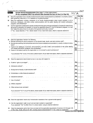| <b>Part V</b> | Schedule A (Form 990 or 990-EZ) 2004<br>Private School Questionnaire (See page 7 of the instructions.)<br>(To be completed ONLY by schools that checked the box on line 6 in Part IV)                                                                                                                                                                                                                                                   | N/                     |     | Page 4 |
|---------------|-----------------------------------------------------------------------------------------------------------------------------------------------------------------------------------------------------------------------------------------------------------------------------------------------------------------------------------------------------------------------------------------------------------------------------------------|------------------------|-----|--------|
| 29.           | Does the organization have a racially nondiscriminatory policy toward students by statement in its charter, bylaws,<br>other governing instrument, or in a resolution of its governing body?.<br>and a strain and a strain                                                                                                                                                                                                              | 29                     | Yes |        |
| 30            | Does the organization include a statement of its racially nondiscriminatory policy toward students in all its<br>brochures, catalogues, and other written communications with the public dealing with student admissions,<br>programs, and scholarships?                                                                                                                                                                                | 30                     |     |        |
| 31            | Has the organization publicized its racially nondiscriminatory policy through newspaper or broadcast media during<br>the period of solicitation for students, or during the registration period if it has no solicitation program, in a way<br>that makes the policy known to all parts of the general community it serves?<br>If "Yes," please describe; if "No," please explain (If you need more space, attach a separate statement) | 31                     |     |        |
|               |                                                                                                                                                                                                                                                                                                                                                                                                                                         |                        |     |        |
| 32.           | Does the organization maintain the following<br>a Records indicating the racial composition of the student body, faculty, and administrative staff?.                                                                                                                                                                                                                                                                                    | 32a                    |     |        |
|               | b Records documenting that scholarships and other financial assistance are awarded on a racially nondiscriminatory<br>$basis?$ $\ldots$<br>and a strategic control of<br>and a strain and<br>$\mathbf{r} = \mathbf{r}$ .                                                                                                                                                                                                                | 32b                    |     |        |
|               | c Copies of all catalogues, brochures, announcements, and other written communications to the public dealing<br>with student admissions, programs, and scholarships?<br>d Copies of all material used by the organization or on its behalf to solicit contributions?                                                                                                                                                                    | 32 <sub>c</sub><br>32d |     |        |
| 33            | If you answered "No" to any of the above, please explain, (If you need more space, attach a separate statement)<br>Does the organization discriminate by race in any way with respect to                                                                                                                                                                                                                                                |                        |     |        |
|               | a Students' rights or privileges?                                                                                                                                                                                                                                                                                                                                                                                                       | 33а                    |     |        |
|               | Admissions policies?.                                                                                                                                                                                                                                                                                                                                                                                                                   | 33b                    |     |        |
| c.            | Employment of faculty or administrative staff?                                                                                                                                                                                                                                                                                                                                                                                          | 33C                    |     |        |
|               | d Scholarships or other financial assistance?.                                                                                                                                                                                                                                                                                                                                                                                          | 33d                    |     |        |
| e             | Educational policies?.<br>Use of facilities?                                                                                                                                                                                                                                                                                                                                                                                            | 33е<br>33f             |     |        |
| f             | Athletic programs?                                                                                                                                                                                                                                                                                                                                                                                                                      | 33g                    |     |        |
| h.            | Other extracurricular activities?                                                                                                                                                                                                                                                                                                                                                                                                       | 33h                    |     |        |
|               | If you answered "Yes" to any of the above, please explain. (If you need more space, attach a separate statement)                                                                                                                                                                                                                                                                                                                        |                        |     |        |
|               |                                                                                                                                                                                                                                                                                                                                                                                                                                         |                        |     |        |
|               | 34a Does the organization receive any financial aid or assistance from a governmental agency?                                                                                                                                                                                                                                                                                                                                           | 34a                    |     |        |
|               | <b>b</b> Has the organization's right to such aid ever been revoked or suspended?<br>If you answered "Yes" to either 34a or b, please explain using an attached statement                                                                                                                                                                                                                                                               | 34b                    |     |        |
| 35            | Does the organization certify that it has complied with the applicable requirements of sections 4 01 through 4 05<br>of Rev Proc 75-50, 1975-2 C B 587, covering racial nondiscrimination? If "No," attach an explanation                                                                                                                                                                                                               | 35                     |     |        |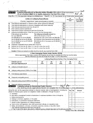|          | Schedule A (Form 990 or 990-EZ) 2004                                                   |                                                                                                                                                                 |    |                                                           |                                                      |
|----------|----------------------------------------------------------------------------------------|-----------------------------------------------------------------------------------------------------------------------------------------------------------------|----|-----------------------------------------------------------|------------------------------------------------------|
|          | Part VI-A                                                                              | Lobbying Expenditures by Electing Public Charities (See page 9 of the instructions.)<br>(To be completed ONLY by an eligible organization that filed Form 5768) |    |                                                           |                                                      |
|          | Check $\blacktriangleright$ a<br>if the organization belongs to an affiliated group    | Check $\blacktriangleright$ <b>b</b>                                                                                                                            |    | if you checked "a" and "limited control" provisions apply |                                                      |
|          |                                                                                        | <b>Limits on Lobbying Expenditures</b><br>(The term "expenditures" means amounts paid or incurred)                                                              |    | (a)<br>Affiliated group<br>totals                         | To be completed<br>for ALL electing<br>organizations |
|          |                                                                                        |                                                                                                                                                                 | 36 |                                                           |                                                      |
| 36       |                                                                                        | Total lobbying expenditures to influence public opinion (grassroots lobbying).                                                                                  | 37 |                                                           |                                                      |
| 37       | Total lobbying expenditures to influence a legislative body (direct lobbying)          |                                                                                                                                                                 | 38 |                                                           |                                                      |
| 38<br>39 | Total lobbying expenditures (add lines 36 and 37)<br>Other exempt purpose expenditures |                                                                                                                                                                 | 39 |                                                           |                                                      |
| 40       | Total exempt purpose expenditures (add lines 38 and 39)                                |                                                                                                                                                                 | 40 |                                                           |                                                      |
| 41       | Lobbying nontaxable amount Enter the amount from the following table-                  |                                                                                                                                                                 |    |                                                           |                                                      |
|          | If the amount on line 40 is-                                                           | The lobbying nontaxable amount is-                                                                                                                              |    |                                                           |                                                      |
|          | Not over \$500,000.                                                                    | 20% of the amount on line 40.                                                                                                                                   |    |                                                           |                                                      |
|          | Over \$500,000 but not over \$1,000,000                                                | \$100,000 plus 15% of the excess over \$500,000                                                                                                                 |    |                                                           |                                                      |
|          | Over \$1,000,000 but not over \$1,500,000                                              | \$175,000 plus 10% of the excess over \$1,000,000                                                                                                               | 41 |                                                           |                                                      |
|          | Over \$1,500,000 but not over \$17,000,000                                             | \$225,000 plus 5% of the excess over \$1,500,000                                                                                                                |    |                                                           |                                                      |
|          | Over \$17,000,000                                                                      | \$1,000,000                                                                                                                                                     |    |                                                           |                                                      |
| 42       | Grassroots nontaxable amount (enter 25% of line 41).                                   |                                                                                                                                                                 | 42 |                                                           |                                                      |
| 43       | Subtract line 42 from line 36 Enter -0- if line 42 is more than line 36                |                                                                                                                                                                 | 43 |                                                           |                                                      |
| 44       | Subtract line 41 from line 38. Enter -0- if line 41 is more than line 38.              |                                                                                                                                                                 | 44 |                                                           |                                                      |

(Some organizations that made a section 501(h) election do not have to complete all of the five columns below<br>See the instructions for lines 45 through 50 on page 11 of the instructions)

|    |                                                                                                                                                                                                                  |             |             | Lobbying Expenditures During 4-Year Averaging Period |             |    |              |
|----|------------------------------------------------------------------------------------------------------------------------------------------------------------------------------------------------------------------|-------------|-------------|------------------------------------------------------|-------------|----|--------------|
|    | Calendar year (or<br>fiscal year beginning in) $\blacktriangleright$                                                                                                                                             | (a)<br>2004 | (b)<br>2003 | (c)<br>2002                                          | (d)<br>2001 |    | (e)<br>Total |
|    |                                                                                                                                                                                                                  |             |             |                                                      |             |    |              |
| 45 | Lobbying nontaxable amount,                                                                                                                                                                                      |             |             |                                                      |             |    |              |
| 46 | Lobbying ceiling amount (150% of line 45(e))                                                                                                                                                                     |             |             |                                                      |             |    |              |
| 47 | Total lobbying expenditures                                                                                                                                                                                      |             |             |                                                      |             |    |              |
| 48 | Grassroots nontaxable amount.                                                                                                                                                                                    |             |             |                                                      |             |    |              |
| 49 | Grassroots ceiling amount (150% of line 48(e))                                                                                                                                                                   |             |             |                                                      |             |    |              |
| 50 | Grassroots lobbying expenditures                                                                                                                                                                                 |             |             |                                                      |             |    |              |
|    | Lobbying Activity by Nonelecting Public Charities<br>Part VI-B<br>(For reporting only by organizations that did not complete Part VI-A) (See page 11 of the instructions.)                                       |             |             |                                                      |             |    |              |
|    | During the year, did the organization attempt to influence national, state or local legislation, including any<br>attempt to influence public opinion on a legislative matter or referendum, through the use of: |             |             |                                                      | Yes i       | No | Amount       |
| a  | Volunteers                                                                                                                                                                                                       |             |             |                                                      |             |    |              |
|    | Paid staff or management (include compensation in expenses reported on lines c through h.)                                                                                                                       |             |             |                                                      |             |    |              |
|    | Media advertisements.                                                                                                                                                                                            |             |             |                                                      |             |    |              |
|    | Mailings to members, legislators, or the public                                                                                                                                                                  |             |             |                                                      |             |    |              |
|    | Publications, or published or broadcast statements [14].                                                                                                                                                         |             |             |                                                      |             |    |              |
|    | Grants to other organizations for lobbying purposes                                                                                                                                                              |             |             |                                                      |             |    |              |
| a  | Direct contact with legislators, their staffs, government officials, or a legislative body                                                                                                                       |             |             |                                                      |             |    |              |
|    | Rallies, demonstrations, seminars, conventions, speeches, lectures, or any other means                                                                                                                           |             |             |                                                      |             |    |              |
|    | Total lobbying expenditures (Add fines c through h.)                                                                                                                                                             |             |             |                                                      |             |    |              |
|    | If "Yes" to any of the above, also attach a statement giving a detailed description of the lobbying activities.                                                                                                  |             |             |                                                      |             |    |              |